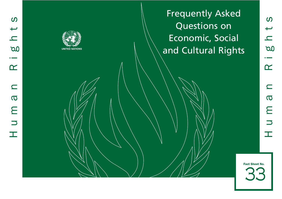Frequently Asked Questions on Economic, Social and Cultural Rights

33 Fact Sheet No.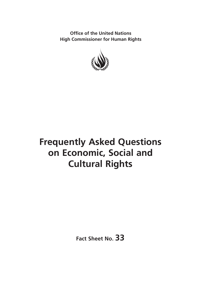**Office of the United Nations High Commissioner for Human Rights**



# **Frequently Asked Questions on Economic, Social and Cultural Rights**

**Fact Sheet No. 33**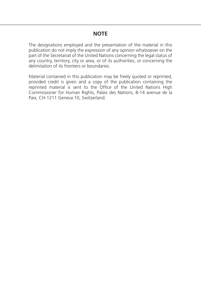# **NOTE**

The designations employed and the presentation of the material in this publication do not imply the expression of any opinion whatsoever on the part of the Secretariat of the United Nations concerning the legal status of any country, territory, city or area, or of its authorities, or concerning the delimitation of its frontiers or boundaries.

Material contained in this publication may be freely quoted or reprinted, provided credit is given and a copy of the publication containing the reprinted material is sent to the Office of the United Nations High Commissioner for Human Rights, Palais des Nations, 8-14 avenue de la Paix, CH-1211 Geneva 10, Switzerland.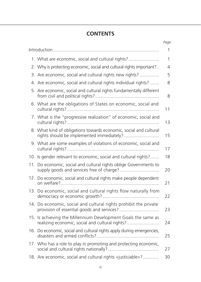# **CONTENTS**

|     |                                                                                                                  | Page           |
|-----|------------------------------------------------------------------------------------------------------------------|----------------|
|     |                                                                                                                  | 1              |
|     | 1. What are economic, social and cultural rights?                                                                | 1              |
|     | 2. Why is protecting economic, social and cultural rights important?                                             | $\overline{4}$ |
|     | 3. Are economic, social and cultural rights new rights?                                                          | 5              |
|     | 4. Are economic, social and cultural rights individual rights?                                                   | 8              |
|     | 5. Are economic, social and cultural rights fundamentally different                                              | 8              |
|     | 6. What are the obligations of States on economic, social and                                                    | 11             |
|     | 7. What is the "progressive realization" of economic, social and                                                 | 13             |
|     | 8. What kind of obligations towards economic, social and cultural                                                | 15             |
|     | 9. What are some examples of violations of economic, social and                                                  | 17             |
|     | 10. Is gender relevant to economic, social and cultural rights?                                                  | 18             |
| 11. | Do economic, social and cultural rights oblige Governments to                                                    | 20             |
|     | 12. Do economic, social and cultural rights make people dependent                                                | 21             |
|     | 13. Do economic, social and cultural rights flow naturally from                                                  | 22             |
|     | 14. Do economic, social and cultural rights prohibit the private                                                 | 23             |
|     | 15. Is achieving the Millennium Development Goals the same as<br>realizing economic, social and cultural rights? | 24             |
|     | 16. Do economic, social and cultural rights apply during emergencies,                                            | 25             |
|     | 17. Who has a role to play in promoting and protecting economic,                                                 | 27             |
|     | 18. Are economic, social and cultural rights «justiciable»?                                                      | 30             |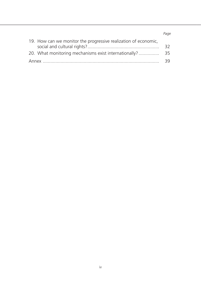### *Page*

| 19. How can we monitor the progressive realization of economic, |     |
|-----------------------------------------------------------------|-----|
|                                                                 | 32  |
|                                                                 |     |
|                                                                 | -39 |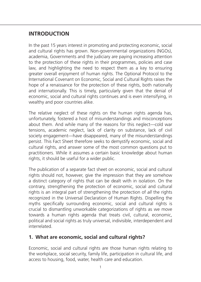# **Introduction**

In the past 15 years interest in promoting and protecting economic, social and cultural rights has grown. Non-governmental organizations (NGOs), academia, Governments and the judiciary are paying increasing attention to the protection of these rights in their programmes, policies and case law, and highlighting the need to respect them as a key to ensuring greater overall enjoyment of human rights. The Optional Protocol to the International Covenant on Economic, Social and Cultural Rights raises the hope of a renaissance for the protection of these rights, both nationally and internationally. This is timely, particularly given that the denial of economic, social and cultural rights continues and is even intensifying, in wealthy and poor countries alike.

The relative neglect of these rights on the human rights agenda has, unfortunately, fostered a host of misunderstandings and misconceptions about them. And while many of the reasons for this neglect—cold war tensions, academic neglect, lack of clarity on substance, lack of civil society engagement—have disappeared, many of the misunderstandings persist. This Fact Sheet therefore seeks to demystify economic, social and cultural rights, and answer some of the most common questions put to practitioners. While it assumes a certain basic knowledge about human rights, it should be useful for a wider public.

The publication of a separate fact sheet on economic, social and cultural rights should not, however, give the impression that they are somehow a distinct category of rights that can be dealt with in isolation. On the contrary, strengthening the protection of economic, social and cultural rights is an integral part of strengthening the protection of *all* the rights recognized in the Universal Declaration of Human Rights. Dispelling the myths specifically surrounding economic, social and cultural rights is crucial to dismantling unworkable categorizations of rights as we move towards a human rights agenda that treats civil, cultural, economic, political and social rights as truly universal, indivisible, interdependent and interrelated.

# **1. What are economic, social and cultural rights?**

Economic, social and cultural rights are those human rights relating to the workplace, social security, family life, participation in cultural life, and access to housing, food, water, health care and education.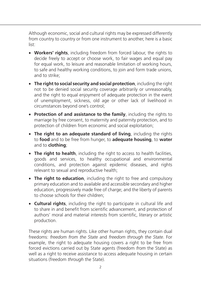Although economic, social and cultural rights may be expressed differently from country to country or from one instrument to another, here is a basic list:

- Workers' rights, including freedom from forced labour, the rights to decide freely to accept or choose work, to fair wages and equal pay for equal work, to leisure and reasonable limitation of working hours, to safe and healthy working conditions, to join and form trade unions, and to strike;
- **The right to social security and social protection**, including the right not to be denied social security coverage arbitrarily or unreasonably, and the right to equal enjoyment of adequate protection in the event of unemployment, sickness, old age or other lack of livelihood in circumstances beyond one's control;
- • **Protection of and assistance to the family**, including the rights to marriage by free consent, to maternity and paternity protection, and to protection of children from economic and social exploitation;
- The right to an adequate standard of living, including the rights to **food** and to be free from hunger, to **adequate housing**, to **water** and to **clothing**;
- The right to health, including the right to access to health facilities, goods and services, to healthy occupational and environmental conditions, and protection against epidemic diseases, and rights relevant to sexual and reproductive health;
- The right to education, including the right to free and compulsory primary education and to available and accessible secondary and higher education, progressively made free of charge; and the liberty of parents to choose schools for their children;
- **Cultural rights**, including the right to participate in cultural life and to share in and benefit from scientific advancement, and protection of authors' moral and material interests from scientific, literary or artistic production.

These rights are human rights. Like other human rights, they contain dual freedoms: *freedom from the State* and *freedom through the State*. For example, the right to adequate housing covers a right to be free from forced evictions carried out by State agents (freedom *from* the State) as well as a right to receive assistance to access adequate housing in certain situations (freedom *through* the State).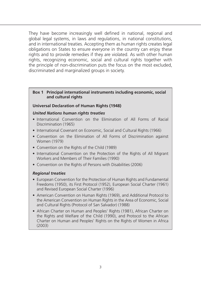They have become increasingly well defined in national, regional and global legal systems, in laws and regulations, in national constitutions, and in international treaties. Accepting them as human rights creates legal obligations on States to ensure everyone in the country can enjoy these rights and to provide remedies if they are violated. As with other human rights, recognizing economic, social and cultural rights together with the principle of non-discrimination puts the focus on the most excluded, discriminated and marginalized groups in society.

### **Box 1 Principal international instruments including economic, social and cultural rights**

### **Universal Declaration of Human Rights (1948)**

### *United Nations human rights treaties*

- International Convention on the Elimination of All Forms of Racial Discrimination (1965)
- International Covenant on Economic, Social and Cultural Rights (1966)
- Convention on the Elimination of All Forms of Discrimination against Women (1979)
- Convention on the Rights of the Child (1989)
- International Convention on the Protection of the Rights of All Migrant Workers and Members of Their Families (1990)
- Convention on the Rights of Persons with Disabilities (2006)

### *Regional treaties*

- European Convention for the Protection of Human Rights and Fundamental Freedoms (1950), its First Protocol (1952), European Social Charter (1961) and Revised European Social Charter (1996)
- American Convention on Human Rights (1969), and Additional Protocol to the American Convention on Human Rights in the Area of Economic, Social and Cultural Rights (Protocol of San Salvador) (1988)
- African Charter on Human and Peoples' Rights (1981), African Charter on the Rights and Welfare of the Child (1990), and Protocol to the African Charter on Human and Peoples' Rights on the Rights of Women in Africa (2003)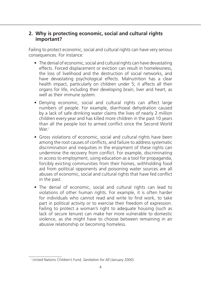## **2. Why is protecting economic, social and cultural rights important?**

Failing to protect economic, social and cultural rights can have very serious consequences. For instance:

- The denial of economic, social and cultural rights can have devastating effects. Forced displacement or eviction can result in homelessness, the loss of livelihood and the destruction of social networks, and have devastating psychological effects. Malnutrition has a clear health impact, particularly on children under 5; it affects all their organs for life, including their developing brain, liver and heart, as well as their immune system.
- Denying economic, social and cultural rights can affect large numbers of people. For example, diarrhoeal dehydration caused by a lack of safe drinking water claims the lives of nearly 2 million children every year and has killed more children in the past 10 years than all the people lost to armed conflict since the Second World  $Mar<sup>1</sup>$
- Gross violations of economic, social and cultural rights have been among the root causes of conflicts, and failure to address systematic discrimination and inequities in the enjoyment of these rights can undermine the recovery from conflict. For example, discriminating in access to employment, using education as a tool for propaganda, forcibly evicting communities from their homes, withholding food aid from political opponents and poisoning water sources are all abuses of economic, social and cultural rights that have fed conflict in the past.
- The denial of economic, social and cultural rights can lead to violations of other human rights. For example, it is often harder for individuals who cannot read and write to find work, to take part in political activity or to exercise their freedom of expression. Failing to protect a woman's right to adequate housing (such as lack of secure tenure) can make her more vulnerable to domestic violence, as she might have to choose between remaining in an abusive relationship or becoming homeless.

<sup>1</sup> United Nations Children's Fund, *Sanitation for All* (January 2000).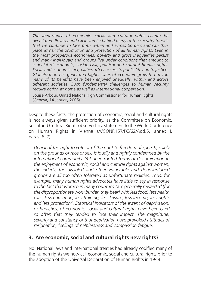*The importance of economic, social and cultural rights cannot be overstated. Poverty and exclusion lie behind many of the security threats that we continue to face both within and across borders and can thus place at risk the promotion and protection of all human rights. Even in the most prosperous economies, poverty and gross inequalities persist and many individuals and groups live under conditions that amount to a denial of economic, social, civil, political and cultural human rights. Social and economic inequalities affect access to public life and to justice. Globalization has generated higher rates of economic growth, but too many of its benefits have been enjoyed unequally, within and across different societies. Such fundamental challenges to human security require action at home as well as international cooperation.*

Louise Arbour, United Nations High Commissioner for Human Rights (Geneva, 14 January 2005)

Despite these facts, the protection of economic, social and cultural rights is not always given sufficient priority, as the Committee on Economic, Social and Cultural Rights observed in a statement to the World Conference on Human Rights in Vienna (A/CONF.157/PC/62/Add.5, annex I, paras. 6–7):

*Denial of the right to vote or of the right to freedom of speech, solely on the grounds of race or sex, is loudly and rightly condemned by the international community. Yet deep-rooted forms of discrimination in the enjoyment of economic, social and cultural rights against women, the elderly, the disabled and other vulnerable and disadvantaged groups are all too often tolerated as unfortunate realities. Thus, for example, many human rights advocates have little to say in response to the fact that women in many countries "are generally rewarded [for the disproportionate work burden they bear] with less food, less health care, less education, less training, less leisure, less income, less rights and less protection". Statistical indicators of the extent of deprivation, or breaches, of economic, social and cultural rights have been cited so often that they tended to lose their impact. The magnitude, severity and constancy of that deprivation have provoked attitudes of resignation, feelings of helplessness and compassion fatigue.*

# **3. Are economic, social and cultural rights new rights?**

No. National laws and international treaties had already codified many of the human rights we now call economic, social and cultural rights prior to the adoption of the Universal Declaration of Human Rights in 1948.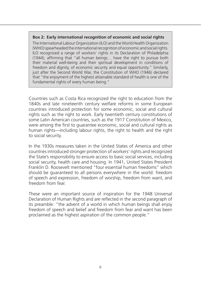### **Box 2: Early international recognition of economic and social rights**

The International Labour Organization (ILO) and the World Health Organization (WHO) spearheaded the international recognition of economic and social rights. ILO recognized a range of workers' rights in its Declaration of Philadelphia (1944), affirming that "all human beings… have the right to pursue both their material well-being and their spiritual development in conditions of freedom and dignity, of economic security and equal opportunity." Similarly, just after the Second World War, the Constitution of WHO (1946) declared that "the enjoyment of the highest attainable standard of health is one of the fundamental rights of every human being."

Countries such as Costa Rica recognized the right to education from the 1840s and late nineteenth century welfare reforms in some European countries introduced protection for some economic, social and cultural rights such as the right to work. Early twentieth century constitutions of some Latin American countries, such as the 1917 Constitution of Mexico, were among the first to guarantee economic, social and cultural rights as human rights—including labour rights, the right to health and the right to social security.

In the 1930s measures taken in the United States of America and other countries introduced stronger protection of workers' rights and recognized the State's responsibility to ensure access to basic social services, including social security, health care and housing. In 1941, United States President Franklin D. Roosevelt mentioned "four essential human freedoms" which should be guaranteed to all persons everywhere in the world: freedom of speech and expression, freedom of worship, freedom from want, and freedom from fear.

These were an important source of inspiration for the 1948 Universal Declaration of Human Rights and are reflected in the second paragraph of its preamble: "the advent of a world in which human beings shall enjoy freedom of speech and belief and freedom from fear and want has been proclaimed as the highest aspiration of the common people."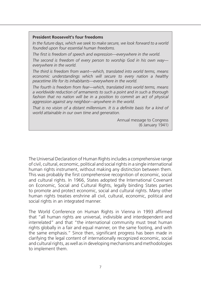#### **President Roosevelt's four freedoms**

*In the future days, which we seek to make secure, we look forward to a world founded upon four essential human freedoms.* 

*The first is freedom of speech and expression—everywhere in the world.*

*The second is freedom of every person to worship God in his own way everywhere in the world.*

*The third is freedom from want—which, translated into world terms, means economic understandings which will secure to every nation a healthy peacetime life for its inhabitants—everywhere in the world.*

*The fourth is freedom from fear—which, translated into world terms, means a worldwide reduction of armaments to such a point and in such a thorough*  fashion that no nation will be in a position to commit an act of physical *aggression against any neighbor—anywhere in the world.*

That is no vision of a distant millennium. It is a definite basis for a kind of *world attainable in our own time and generation.*

> Annual message to Congress (6 January 1941)

The Universal Declaration of Human Rights includes a comprehensive range of civil, cultural, economic, political and social rights in a single international human rights instrument, without making any distinction between them. This was probably the first comprehensive recognition of economic, social and cultural rights. In 1966, States adopted the International Covenant on Economic, Social and Cultural Rights, legally binding States parties to promote and protect economic, social and cultural rights. Many other human rights treaties enshrine all civil, cultural, economic, political and social rights in an integrated manner.

The World Conference on Human Rights in Vienna in 1993 affirmed that "all human rights are universal, indivisible and interdependent and interrelated" and that "the international community must treat human rights globally in a fair and equal manner, on the same footing, and with the same emphasis." Since then, significant progress has been made in clarifying the legal content of internationally recognized economic, social and cultural rights, as well as in developing mechanisms and methodologies to implement them.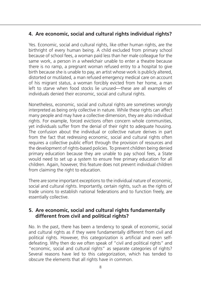# **4. Are economic, social and cultural rights individual rights?**

Yes. Economic, social and cultural rights, like other human rights, are the birthright of every human being. A child excluded from primary school because of school fees, a woman paid less than her male colleague for the same work, a person in a wheelchair unable to enter a theatre because there is no ramp, a pregnant woman refused entry to a hospital to give birth because she is unable to pay, an artist whose work is publicly altered, distorted or mutilated, a man refused emergency medical care on account of his migrant status, a woman forcibly evicted from her home, a man left to starve when food stocks lie unused*—*these are all examples of individuals denied their economic, social and cultural rights.

Nonetheless, economic, social and cultural rights are sometimes wrongly interpreted as being only collective in nature. While these rights can affect many people and may have a collective dimension, they are also individual rights. For example, forced evictions often concern whole communities, yet individuals suffer from the denial of their right to adequate housing. The confusion about the individual or collective nature derives in part from the fact that redressing economic, social and cultural rights often requires a collective public effort through the provision of resources and the development of rights-based policies. To prevent children being denied primary education because they are unable to pay school fees, a State would need to set up a system to ensure free primary education for all children. Again, however, this feature does not prevent individual children from claiming the right to education.

There are some important exceptions to the individual nature of economic, social and cultural rights. Importantly, certain rights, such as the rights of trade unions to establish national federations and to function freely, are essentially collective.

# **5. Are economic, social and cultural rights fundamentally different from civil and political rights?**

No. In the past, there has been a tendency to speak of economic, social and cultural rights as if they were fundamentally different from civil and political rights. However, this categorization is artificial and even selfdefeating. Why then do we often speak of "civil and political rights" and "economic, social and cultural rights" as separate categories of rights? Several reasons have led to this categorization, which has tended to obscure the elements that all rights have in common.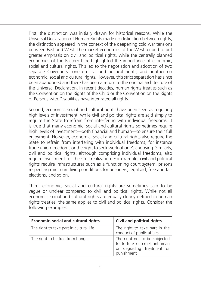First, the distinction was initially drawn for historical reasons. While the Universal Declaration of Human Rights made no distinction between rights, the distinction appeared in the context of the deepening cold war tensions between East and West. The market economies of the West tended to put greater emphasis on civil and political rights, while the centrally planned economies of the Eastern bloc highlighted the importance of economic, social and cultural rights. This led to the negotiation and adoption of two separate Covenants—one on civil and political rights, and another on economic, social and cultural rights. However, this strict separation has since been abandoned and there has been a return to the original architecture of the Universal Declaration. In recent decades, human rights treaties such as the Convention on the Rights of the Child or the Convention on the Rights of Persons with Disabilities have integrated all rights.

Second, economic, social and cultural rights have been seen as requiring high levels of investment, while civil and political rights are said simply to require the State to refrain from interfering with individual freedoms. It is true that many economic, social and cultural rights sometimes require high levels of investment—both financial and human—to ensure their full enjoyment. However, economic, social and cultural rights also require the State to refrain from interfering with individual freedoms, for instance trade union freedoms or the right to seek work of one's choosing. Similarly, civil and political rights, although comprising individual freedoms, also require investment for their full realization. For example, civil and political rights require infrastructures such as a functioning court system, prisons respecting minimum living conditions for prisoners, legal aid, free and fair elections, and so on.

Third, economic, social and cultural rights are sometimes said to be vague or unclear compared to civil and political rights. While not all economic, social and cultural rights are equally clearly defined in human rights treaties, the same applies to civil and political rights. Consider the following examples:

| Economic, social and cultural rights    | Civil and political rights                                                                               |
|-----------------------------------------|----------------------------------------------------------------------------------------------------------|
| The right to take part in cultural life | The right to take part in the<br>conduct of public affairs                                               |
| The right to be free from hunger        | The right not to be subjected<br>to torture or cruel, inhuman<br>or degrading treatment or<br>punishment |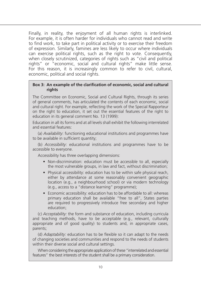Finally, in reality, the enjoyment of all human rights is interlinked. For example, it is often harder for individuals who cannot read and write to find work, to take part in political activity or to exercise their freedom of expression. Similarly, famines are less likely to occur where individuals can exercise political rights, such as the right to vote. Consequently, when closely scrutinized, categories of rights such as "civil and political rights" or "economic, social and cultural rights" make little sense. For this reason, it is increasingly common to refer to civil, cultural, economic, political and social rights.

### **Box 3: An example of the clarification of economic, social and cultural rights**

The Committee on Economic, Social and Cultural Rights, through its series of general comments, has articulated the contents of each economic, social and cultural right. For example, reflecting the work of the Special Rapporteur on the right to education, it set out the essential features of the right to education in its general comment No. 13 (1999):

Education in all its forms and at all levels shall exhibit the following interrelated and essential features:

(a) *Availability*: functioning educational institutions and programmes have to be available in sufficient quantity;

(b) *Accessibility*: educational institutions and programmes have to be accessible to everyone.

Accessibility has three overlapping dimensions:

- Non-discrimination: education must be accessible to all, especially the most vulnerable groups, in law and fact, without discrimination;
- Physical accessibility: education has to be within safe physical reach, either by attendance at some reasonably convenient geographic location (e.g., a neighbourhood school) or via modern technology (e.g., access to a "distance learning" programme);
- Economic accessibility: education has to be affordable to all: whereas primary education shall be available "free to all", States parties are required to progressively introduce free secondary and higher education;

(c) *Acceptability:* the form and substance of education, including curricula and teaching methods, have to be acceptable (e.g., relevant, culturally appropriate and of good quality) to students and, in appropriate cases, parents;

(d) *Adaptability:* education has to be flexible so it can adapt to the needs of changing societies and communities and respond to the needs of students within their diverse social and cultural settings.

When considering the appropriate application of these "interrelated and essential features" the best interests of the student shall be a primary consideration.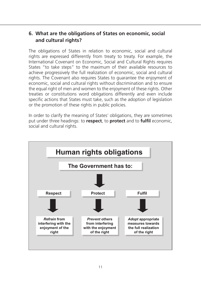# **6. What are the obligations of States on economic, social and cultural rights?**

The obligations of States in relation to economic, social and cultural rights are expressed differently from treaty to treaty. For example, the International Covenant on Economic, Social and Cultural Rights requires States "to take steps" to the maximum of their available resources to achieve progressively the full realization of economic, social and cultural rights. The Covenant also requires States to guarantee the enjoyment of economic, social and cultural rights without discrimination and to ensure the equal right of men and women to the enjoyment of these rights. Other treaties or constitutions word obligations differently and even include specific actions that States must take, such as the adoption of legislation or the promotion of these rights in public policies.

In order to clarify the meaning of States' obligations, they are sometimes put under three headings: to **respect**, to **protect** and to **fulfil** economic, social and cultural rights.

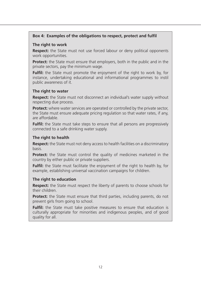### **Box 4: Examples of the obligations to respect, protect and fulfil**

#### **The right to work**

**Respect:** the State must not use forced labour or deny political opponents work opportunities.

**Protect:** the State must ensure that employers, both in the public and in the private sectors, pay the minimum wage.

**Fulfil:** the State must promote the enjoyment of the right to work by, for instance, undertaking educational and informational programmes to instil public awareness of it.

### **The right to water**

**Respect:** the State must not disconnect an individual's water supply without respecting due process.

**Protect:** where water services are operated or controlled by the private sector, the State must ensure adequate pricing regulation so that water rates, if any, are affordable.

**Fulfil:** the State must take steps to ensure that all persons are progressively connected to a safe drinking water supply.

### **The right to health**

**Respect:** the State must not deny access to health facilities on a discriminatory basis.

**Protect:** the State must control the quality of medicines marketed in the country by either public or private suppliers.

**Fulfil:** the State must facilitate the enjoyment of the right to health by, for example, establishing universal vaccination campaigns for children.

### **The right to education**

**Respect:** the State must respect the liberty of parents to choose schools for their children.

**Protect:** the State must ensure that third parties, including parents, do not prevent girls from going to school.

**Fulfil:** the State must take positive measures to ensure that education is culturally appropriate for minorities and indigenous peoples, and of good quality for all.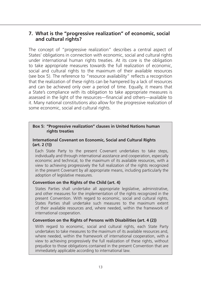### **7. What is the "progressive realization" of economic, social and cultural rights?**

The concept of "progressive realization" describes a central aspect of States' obligations in connection with economic, social and cultural rights under international human rights treaties. At its core is the obligation to take appropriate measures towards the full realization of economic, social and cultural rights to the maximum of their available resources (see box 5). The reference to "resource availability" reflects a recognition that the realization of these rights can be hampered by a lack of resources and can be achieved only over a period of time. Equally, it means that a State's compliance with its obligation to take appropriate measures is assessed in the light of the resources—financial and others—available to it. Many national constitutions also allow for the progressive realization of some economic, social and cultural rights.

### **Box 5: "Progressive realization" clauses in United Nations human rights treaties**

### **International Covenant on Economic, Social and Cultural Rights (art. 2 (1))**

Each State Party to the present Covenant undertakes to take steps, individually and through international assistance and cooperation, especially economic and technical, to the maximum of its available resources, with a view to achieving progressively the full realization of the rights recognized in the present Covenant by all appropriate means, including particularly the adoption of legislative measures.

### **Convention on the Rights of the Child (art. 4)**

States Parties shall undertake all appropriate legislative, administrative, and other measures for the implementation of the rights recognized in the present Convention. With regard to economic, social and cultural rights, States Parties shall undertake such measures to the maximum extent of their available resources and, where needed, within the framework of international cooperation.

### **Convention on the Rights of Persons with Disabilities (art. 4 (2))**

With regard to economic, social and cultural rights, each State Party undertakes to take measures to the maximum of its available resources and, where needed, within the framework of international cooperation, with a view to achieving progressively the full realization of these rights, without prejudice to those obligations contained in the present Convention that are immediately applicable according to international law.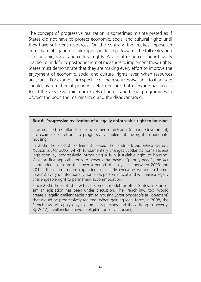The concept of progressive realization is sometimes misinterpreted as if States did not have to protect economic, social and cultural rights until they have sufficient resources. On the contrary, the treaties impose an immediate obligation to take appropriate steps towards the full realization of economic, social and cultural rights. A lack of resources cannot justify inaction or indefinite postponement of measures to implement these rights. States must demonstrate that they are making every effort to improve the enjoyment of economic, social and cultural rights, even when resources are scarce. For example, irrespective of the resources available to it, a State should, as a matter of priority, seek to ensure that everyone has access to, at the very least, minimum levels of rights, and target programmes to protect the poor, the marginalized and the disadvantaged.

### **Box 6: Progressive realization of a legally enforceable right to housing**

Laws enacted in Scotland (local government) and France (national Government) are examples of efforts to progressively implement the right to adequate housing.

In 2003 the Scottish Parliament passed the landmark *Homelessness etc. (Scotland) Act 2003*, which fundamentally changes Scotland's homelessness legislation by progressively introducing a fully justiciable right to housing. While at first applicable only to persons that have a "priority need", the Act is intended to ensure that over a period of ten years—between 2003 and 2012—these groups are expanded to include everyone without a home. In 2012 every unintentionally homeless person in Scotland will have a legally challengeable right to permanent accommodation.

Since 2003 the Scottish law has become a model for other States. In France, similar legislation has been under discussion. The French law, too, would create a legally challengeable right to housing (*droit opposable au logement*) that would be progressively realized. When gaining legal force, in 2008, the French law will apply only to homeless persons and those living in poverty. By 2012, it will include anyone eligible for social housing.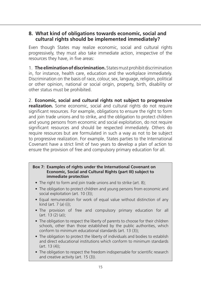# **8. What kind of obligations towards economic, social and cultural rights should be implemented immediately?**

Even though States may realize economic, social and cultural rights progressively, they must also take immediate action, irrespective of the resources they have, in five areas:

1. **The elimination of discrimination.** States must prohibit discrimination in, for instance, health care, education and the workplace immediately. Discrimination on the basis of race, colour, sex, language, religion, political or other opinion, national or social origin, property, birth, disability or other status must be prohibited.

2. **Economic, social and cultural rights not subject to progressive realization.** Some economic, social and cultural rights do not require significant resources. For example, obligations to ensure the right to form and join trade unions and to strike, and the obligation to protect children and young persons from economic and social exploitation, do not require significant resources and should be respected immediately. Others do require resources but are formulated in such a way as not to be subject to progressive realization. For example, States parties to the International Covenant have a strict limit of two years to develop a plan of action to ensure the provision of free and compulsory primary education for all.

### **Box 7: Examples of rights under the International Covenant on Economic, Social and Cultural Rights (part III) subject to immediate protection**

- The right to form and join trade unions and to strike (art. 8);
- The obligation to protect children and young persons from economic and social exploitation (art. 10 (3));
- Equal remuneration for work of equal value without distinction of any kind (art. 7 (*a*) (i));
- The provision of free and compulsory primary education for all (art. 13 (2) (*a*));
- The obligation to respect the liberty of parents to choose for their children schools, other than those established by the public authorities, which conform to minimum educational standards (art. 13 (3));
- The obligation to protect the liberty of individuals and bodies to establish and direct educational institutions which conform to minimum standards (art. 13 (4));
- The obligation to respect the freedom indispensable for scientific research and creative activity (art. 15 (3)).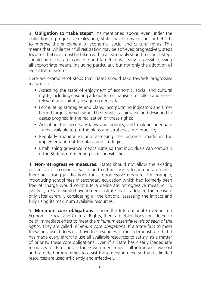3. **Obligation to "take steps".** As mentioned above, even under the obligation of progressive realization, States have to make constant efforts to improve the enjoyment of economic, social and cultural rights. This means that, while their full realization may be achieved progressively, steps towards that goal must be taken within a reasonably short time. Such steps should be deliberate, concrete and targeted as clearly as possible, using all appropriate means, including particularly but not only the adoption of legislative measures.

Here are examples of steps that States should take towards progressive realization:

- Assessing the state of enjoyment of economic, social and cultural rights, including ensuring adequate mechanisms to collect and assess relevant and suitably disaggregated data;
- Formulating strategies and plans, incorporating indicators and timebound targets, which should be realistic, achievable and designed to assess progress in the realization of these rights;
- Adopting the necessary laws and policies, and making adequate funds available to put the plans and strategies into practice;
- Regularly monitoring and assessing the progress made in the implementation of the plans and strategies;
- Establishing grievance mechanisms so that individuals can complain if the State is not meeting its responsibilities.

4. **Non-retrogressive measures.** States should not allow the existing protection of economic, social and cultural rights to deteriorate unless there are strong justifications for a retrogressive measure. For example, introducing school fees in secondary education which had formerly been free of charge would constitute a deliberate retrogressive measure. To justify it, a State would have to demonstrate that it adopted the measure only after carefully considering all the options, assessing the impact and fully using its maximum available resources.

5. **Minimum core obligations.** Under the International Covenant on Economic, Social and Cultural Rights, there are obligations considered to be of immediate effect to meet the *minimum essential levels of each of the rights*. They are called *minimum core obligations*. If a State fails to meet these because it does not have the resources, it must demonstrate that it has made every effort to use all available resources to satisfy, as a matter of priority, these core obligations. Even if a State has clearly inadequate resources at its disposal, the Government must still introduce low-cost and targeted programmes to assist those most in need so that its limited resources are used efficiently and effectively.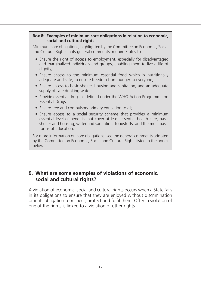### **Box 8: Examples of minimum core obligations in relation to economic, social and cultural rights**

Minimum core obligations, highlighted by the Committee on Economic, Social and Cultural Rights in its general comments, require States to:

- Ensure the right of access to employment, especially for disadvantaged and marginalized individuals and groups, enabling them to live a life of dianity:
- Ensure access to the minimum essential food which is nutritionally adequate and safe, to ensure freedom from hunger to everyone;
- Ensure access to basic shelter, housing and sanitation, and an adequate supply of safe drinking water;
- Provide essential drugs as defined under the WHO Action Programme on Essential Drugs;
- Ensure free and compulsory primary education to all;
- Ensure access to a social security scheme that provides a minimum essential level of benefits that cover at least essential health care, basic shelter and housing, water and sanitation, foodstuffs, and the most basic forms of education.

For more information on core obligations, see the general comments adopted by the Committee on Economic, Social and Cultural Rights listed in the annex below.

# **9. What are some examples of violations of economic, social and cultural rights?**

A violation of economic, social and cultural rights occurs when a State fails in its obligations to ensure that they are enjoyed without discrimination or in its obligation to respect, protect and fulfil them. Often a violation of one of the rights is linked to a violation of other rights.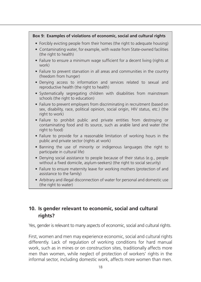### **Box 9: Examples of violations of economic, social and cultural rights**

- Forcibly evicting people from their homes (the right to adequate housing)
- Contaminating water, for example, with waste from State-owned facilities (the right to health)
- Failure to ensure a minimum wage sufficient for a decent living (rights at work)
- Failure to prevent starvation in all areas and communities in the country (freedom from hunger)
- Denying access to information and services related to sexual and reproductive health (the right to health)
- Systematically segregating children with disabilities from mainstream schools (the right to education)
- Failure to prevent employers from discriminating in recruitment (based on sex, disability, race, political opinion, social origin, HIV status, etc.) (the right to work)
- Failure to prohibit public and private entities from destroying or contaminating food and its source, such as arable land and water (the right to food)
- Failure to provide for a reasonable limitation of working hours in the public and private sector (rights at work)
- Banning the use of minority or indigenous languages (the right to participate in cultural life)
- Denying social assistance to people because of their status (e.g., people without a fixed domicile, asylum-seekers) (the right to social security)
- Failure to ensure maternity leave for working mothers (protection of and assistance to the family)
- Arbitrary and illegal disconnection of water for personal and domestic use (the right to water)

# **10. Is gender relevant to economic, social and cultural rights?**

Yes, gender is relevant to many aspects of economic, social and cultural rights.

First, women and men may experience economic, social and cultural rights differently. Lack of regulation of working conditions for hard manual work, such as in mines or on construction sites, traditionally affects more men than women, while neglect of protection of workers' rights in the informal sector, including domestic work, affects more women than men.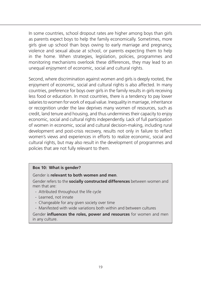In some countries, school dropout rates are higher among boys than girls as parents expect boys to help the family economically. Sometimes, more girls give up school than boys owing to early marriage and pregnancy, violence and sexual abuse at school, or parents expecting them to help in the home. When strategies, legislation, policies, programmes and monitoring mechanisms overlook these differences, they may lead to an unequal enjoyment of economic, social and cultural rights.

Second, where discrimination against women and girls is deeply rooted, the enjoyment of economic, social and cultural rights is also affected. In many countries, preference for boys over girls in the family results in girls receiving less food or education. In most countries, there is a tendency to pay lower salaries to women for work of equal value. Inequality in marriage, inheritance or recognition under the law deprives many women of resources, such as credit, land tenure and housing, and thus undermines their capacity to enjoy economic, social and cultural rights independently. Lack of full participation of women in economic, social and cultural decision-making, including rural development and post-crisis recovery, results not only in failure to reflect women's views and experiences in efforts to realize economic, social and cultural rights, but may also result in the development of programmes and policies that are not fully relevant to them.

### **Box 10: What is gender?**

Gender is **relevant to both women and men**.

Gender refers to the **socially constructed differences** between women and men that are:

- Attributed throughout the life cycle
- Learned, not innate
- Changeable for any given society over time
- Manifested with wide variations both within and between cultures

Gender **influences the roles, power and resources** for women and men in any culture.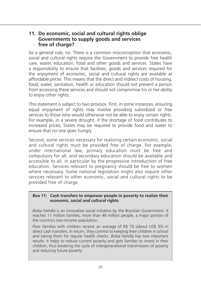### **11. Do economic, social and cultural rights oblige Governments to supply goods and services free of charge?**

As a general rule, no. There is a common misconception that economic, social and cultural rights require the Government to provide free health care, water, education, food and other goods and services. States have a responsibility to ensure that facilities, goods and services required for the enjoyment of economic, social and cultural rights are available at *affordable prices*. This means that the direct and indirect costs of housing, food, water, sanitation, health or education should not prevent a person from accessing these services and should not compromise his or her ability to enjoy other rights.

This statement is subject to two provisos. First, in some instances, ensuring equal enjoyment of rights may involve providing subsidized or free services to those who would otherwise not be able to enjoy certain rights. For example, in a severe drought, if the shortage of food contributes to increased prices, States may be required to provide food and water to ensure that no one goes hungry.

Second, some services necessary for realizing certain economic, social and cultural rights must be provided free of charge. For example, under international law, primary education must be free and compulsory for all, and secondary education should be available and accessible to all, in particular by the progressive introduction of free education. Services relevant to pregnancy should be free to women where necessary. Some national legislation might also require other services relevant to other economic, social and cultural rights to be provided free of charge.

### **Box 11: Cash transfers to empower people in poverty to realize their economic, social and cultural rights**

*Bolsa Família* is an innovative social initiative by the Brazilian Government. It reaches 11 million families, more than 46 million people, a major portion of the country's low-income population.

Poor families with children receive an average of R\$ 70 (about US\$ 35) in direct cash transfers. In return, they commit to keeping their children in school and taking them for regular health checks. *Bolsa Família* has two important results: it helps to reduce current poverty and gets families to invest in their children, thus breaking the cycle of intergenerational transmission of poverty and reducing future poverty.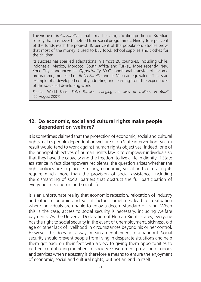The virtue of *Bolsa Família* is that it reaches a signification portion of Brazilian society that has never benefited from social programmes. Ninety-four per cent of the funds reach the poorest 40 per cent of the population. Studies prove that most of the money is used to buy food, school supplies and clothes for the children.

Its success has sparked adaptations in almost 20 countries, including Chile, Indonesia, Mexico, Morocco, South Africa and Turkey. More recently, New York City announced its *Opportunity NYC* conditional transfer of income programme, modelled on *Bolsa Família* and its Mexican equivalent. This is an example of a developed country adopting and learning from the experiences of the so-called developing world.

*Source*: World Bank, *Bolsa Família: changing the lives of millions in Brazil* (22 August 2007)

### **12. Do economic, social and cultural rights make people dependent on welfare?**

It is sometimes claimed that the protection of economic, social and cultural rights makes people dependent on welfare or on State intervention. Such a result would tend to work against human rights objectives. Indeed, one of the principal objectives of human rights law is to empower individuals so that they have the capacity and the freedom to live a life in dignity. If State assistance in fact disempowers recipients, the question arises whether the right policies are in place. Similarly, economic, social and cultural rights require much more than the provision of social assistance, including the dismantling of social barriers that obstruct the full participation of everyone in economic and social life.

It is an unfortunate reality that economic recession, relocation of industry and other economic and social factors sometimes lead to a situation where individuals are unable to enjoy a decent standard of living. When this is the case, access to social security is necessary, including welfare payments. As the Universal Declaration of Human Rights states, everyone has the right to social security in the event of unemployment, sickness, old age or other lack of livelihood in circumstances beyond his or her control. However, this does not always mean an entitlement to a handout. Social security should prevent people from living in desperate situations and help them get back on their feet with a view to giving them opportunities to be free, contributing members of society. Government provision of goods and services when necessary is therefore a means to ensure the enjoyment of economic, social and cultural rights, but not an end in itself.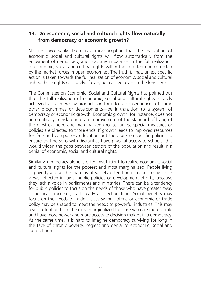# **13. Do economic, social and cultural rights flow naturally from democracy or economic growth?**

No, not necessarily. There is a misconception that the realization of economic, social and cultural rights will flow automatically from the enjoyment of democracy, and that any imbalance in the full realization of economic, social and cultural rights will in the long term be corrected by the market forces in open economies. The truth is that, unless specific action is taken towards the full realization of economic, social and cultural rights, these rights can rarely, if ever, be realized, even in the long term.

The Committee on Economic, Social and Cultural Rights has pointed out that the full realization of economic, social and cultural rights is rarely achieved as a mere by-product, or fortuitous consequence, of some other programmes or developments—be it transition to a system of democracy or economic growth. Economic growth, for instance, does not automatically translate into an improvement of the standard of living of the most excluded and marginalized groups, unless special measures or policies are directed to those ends. If growth leads to improved resources for free and compulsory education but there are no specific policies to ensure that persons with disabilities have physical access to schools, this would widen the gaps between sectors of the population and result in a denial of economic, social and cultural rights.

Similarly, democracy alone is often insufficient to realize economic, social and cultural rights for the poorest and most marginalized. People living in poverty and at the margins of society often find it harder to get their views reflected in laws, public policies or development efforts, because they lack a voice in parliaments and ministries. There can be a tendency for public policies to focus on the needs of those who have greater sway in political processes, particularly at election time. Social benefits may focus on the needs of middle-class swing voters, or economic or trade policy may be shaped to meet the needs of powerful industries. This may divert attention from the most marginalized to those who are more visible and have more power and more access to decision makers in a democracy. At the same time, it is hard to imagine democracy surviving for long in the face of chronic poverty, neglect and denial of economic, social and cultural rights.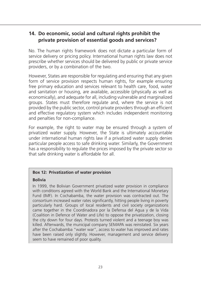# **14. Do economic, social and cultural rights prohibit the private provision of essential goods and services?**

No. The human rights framework does not dictate a particular form of service delivery or pricing policy. International human rights law does not prescribe whether services should be delivered by public or private service providers, or by a combination of the two.

However, States are responsible for regulating and ensuring that any given form of service provision respects human rights, for example ensuring free primary education and services relevant to health care, food, water and sanitation or housing, are available, accessible (physically as well as economically), and adequate for all, including vulnerable and marginalized groups. States must therefore regulate and, where the service is not provided by the public sector, control private providers through an efficient and effective regulatory system which includes independent monitoring and penalties for non-compliance.

For example, the right to water may be ensured through a system of privatized water supply. However, the State is ultimately accountable under international human rights law if a privatized water supply denies particular people access to safe drinking water. Similarly, the Government has a responsibility to regulate the prices imposed by the private sector so that safe drinking water is affordable for all.

### **Box 12: Privatization of water provision**

### **Bolivia**

In 1999, the Bolivian Government privatized water provision in compliance with conditions agreed with the World Bank and the International Monetary Fund (IMF). In Cochabamba, the water provision was contracted out. The consortium increased water rates significantly, hitting people living in poverty particularly hard. Groups of local residents and civil society organizations came together in the Coordinadora por la Defensa del Agua y de la Vida (Coalition in Defence of Water and Life) to oppose the privatization, closing the city down for four days. Protests turned violent and a teenage boy was killed. Afterwards, the municipal company SEMAPA was reinstated. Six years after the Cochabamba "water war", access to water has improved and rates have been raised only slightly. However, management and service delivery seem to have remained of poor quality.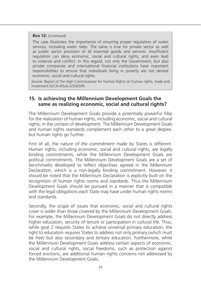### **Box 12:** *(continued)*

The case illustrates the importance of ensuring proper regulation of water services, including water rates. The same is true for private sector as well as public sector provision of all essential goods and services. Insufficient regulation can deny economic, social and cultural rights, and even lead to violence and conflict. In this regard, not only the Government, but also private companies and international financial institutions have important responsibilities to ensure that individuals living in poverty are not denied economic, social and cultural rights.

*Source*: Report of the High Commissioner for Human Rights on human rights, trade and investment (E/CN.4/Sub.2/2003/9).

### **15. Is achieving the Millennium Development Goals the same as realizing economic, social and cultural rights?**

The Millennium Development Goals provide a potentially powerful fillip for the realization of human rights, including economic, social and cultural rights, in the context of development. The Millennium Development Goals and human rights standards complement each other to a great degree, but human rights go further.

First of all, the *nature of the commitment* made by States is different. Human rights, including economic, social and cultural rights, are legally binding commitments, while the Millennium Development Goals are political commitments. The Millennium Development Goals are a set of benchmarks developed to reflect objectives agreed in the Millennium Declaration, which is a non-legally binding commitment. However, it should be noted that the Millennium Declaration is explicitly built on the recognition of human rights norms and standards. Thus the Millennium Development Goals should be pursued in a manner that is compatible with the legal obligations each State may have under human rights norms and standards.

Secondly, the *scope* of issues that economic, social and cultural rights cover is *wider* than those covered by the Millennium Development Goals. For example, the Millennium Development Goals do not directly address higher education, security of tenure or participation in cultural life. Thus, while goal 2 requires States to achieve universal primary education, the right to education requires States to address not only primary (which must be free) but also secondary and tertiary education. Furthermore, while the Millennium Development Goals address certain aspects of economic, social and cultural rights, social freedoms, such as protection against forced evictions, are additional human rights concerns not addressed by the Millennium Development Goals.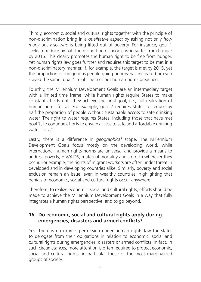Thirdly, economic, social and cultural rights together with the principle of non-discrimination bring in a *qualitative aspect* by asking not only *how many* but also *who* is being lifted out of poverty. For instance, goal 1 seeks to reduce by half the proportion of people who suffer from hunger by 2015. This clearly promotes the human right to be free from hunger. Yet human rights law goes further and requires this target to be met in a non-discriminatory manner. If, for example, the target is met by 2015, yet the proportion of indigenous people going hungry has increased or even stayed the same, goal 1 might be met but human rights breached.

Fourthly, the Millennium Development Goals are an intermediary target with a limited time frame, while human rights require States to make constant efforts until they achieve the final goal, i.e., full realization of human rights for all. For example, goal 7 requires States to reduce by half the proportion of people without sustainable access to safe drinking water. The right to water requires States, including those that have met goal 7, to continue efforts to ensure access to safe and affordable drinking water for *all*.

Lastly, there is a difference in *geographical* scope. The Millennium Development Goals focus mostly on the developing world, while international human rights norms are universal and provide a means to address poverty, HIV/AIDS, maternal mortality and so forth wherever they occur. For example, the rights of migrant workers are often under threat in developed and in developing countries alike. Similarly, poverty and social exclusion remain an issue, even in wealthy countries, highlighting that denials of economic, social and cultural rights occur anywhere.

Therefore, to realize economic, social and cultural rights, efforts should be made to achieve the Millennium Development Goals in a way that fully integrates a human rights perspective, and to go beyond.

# **16. Do economic, social and cultural rights apply during emergencies, disasters and armed conflicts?**

Yes. There is no express permission under human rights law for States to derogate from their obligations in relation to economic, social and cultural rights during emergencies, disasters or armed conflicts. In fact, in such circumstances, more attention is often required to protect economic, social and cultural rights, in particular those of the most marginalized groups of society.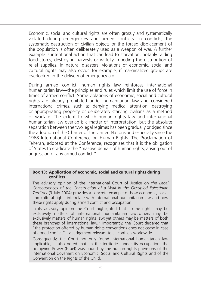Economic, social and cultural rights are often grossly and systematically violated during emergencies and armed conflicts. In conflicts, the systematic destruction of civilian objects or the forced displacement of the population is often deliberately used as a weapon of war. A further example is intentional action that can lead to starvation, notably raiding food stores, destroying harvests or wilfully impeding the distribution of relief supplies. In natural disasters, violations of economic, social and cultural rights may also occur, for example, if marginalized groups are overlooked in the delivery of emergency aid.

During armed conflict, human rights law reinforces international humanitarian law—the principles and rules which limit the use of force in times of armed conflict. Some violations of economic, social and cultural rights are already prohibited under humanitarian law and considered international crimes, such as denying medical attention, destroying or appropriating property or deliberately starving civilians as a method of warfare. The extent to which human rights law and international humanitarian law overlap is a matter of interpretation, but the absolute separation between the two legal regimes has been gradually bridged since the adoption of the Charter of the United Nations and especially since the 1968 International Conference on Human Rights. The Proclamation of Teheran, adopted at the Conference, recognizes that it is the obligation of States to eradicate the "massive denials of human rights, arising out of aggression or any armed conflict."

### **Box 13: Application of economic, social and cultural rights during conflicts**

The advisory opinion of the International Court of Justice on *the Legal Consequences of the Construction of a Wall in the Occupied Palestinian Territory* (9 July 2004) provides a concrete example of how economic, social and cultural rights interrelate with international humanitarian law and how these rights apply during armed conflict and occupation.

In its advisory opinion the Court highlighted that "some rights may be exclusively matters of international humanitarian law; others may be exclusively matters of human rights law; yet others may be matters of both these branches of international law." Importantly, the Court declared that "the protection offered by human rights conventions does not cease in case of armed conflict"—a judgement relevant to all conflicts worldwide.

Consequently, the Court not only found international humanitarian law applicable, it also noted that, in the territories under its occupation, the occupying Power (Israel) was bound by the human rights provisions of the International Covenant on Economic, Social and Cultural Rights and of the Convention on the Rights of the Child.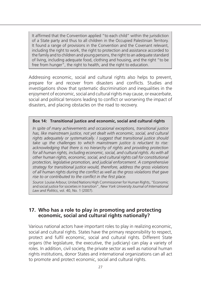It affirmed that the Convention applied "to each child" within the jurisdiction of a State party and thus to all children in the Occupied Palestinian Territory. It found a range of provisions in the Convention and the Covenant relevant, including the right to work, the right to protection and assistance accorded to the family and to children and young persons, the right to an adequate standard of living, including adequate food, clothing and housing, and the right "to be free from hunger", the right to health, and the right to education.

Addressing economic, social and cultural rights also helps to prevent, prepare for and recover from disasters and conflicts. Studies and investigations show that systematic discrimination and inequalities in the enjoyment of economic, social and cultural rights may cause, or exacerbate, social and political tensions leading to conflict or worsening the impact of disasters, and placing obstacles on the road to recovery.

### **Box 14: Transitional justice and economic, social and cultural rights**

*In spite of many achievements and occasional exceptions, transitional justice has, like mainstream justice, not yet dealt with economic, social, and cultural rights adequately or systematically. I suggest that transitional justice should take up the challenges to which mainstream justice is reluctant to rise:*  acknowledging that there is no hierarchy of rights and providing protection *for all human rights, including economic, social, and cultural rights. As with all other human rights, economic, social, and cultural rights call for constitutional protection, legislative promotion, and judicial enforcement. A comprehensive strategy for transitional justice would, therefore, address the gross violations of all human rights during the conflict as well as the gross violations that gave rise to or contributed to the conflict in the first place.*

*Source*: Louise Arbour, United Nations High Commissioner for Human Rights, "Economic and social justice for societies in transition", *New York University Journal of International Law and Politics*, vol. 40, No. 1 (2007).

## **17. Who has a role to play in promoting and protecting economic, social and cultural rights nationally?**

Various national actors have important roles to play in realizing economic, social and cultural rights. States have the primary responsibility to respect, protect and fulfil economic, social and cultural rights. Different State organs (the legislature, the executive, the judiciary) can play a variety of roles. In addition, civil society, the private sector as well as national human rights institutions, donor States and international organizations can all act to promote and protect economic, social and cultural rights.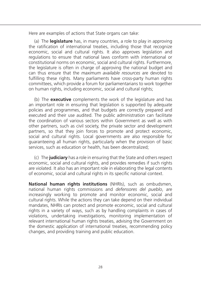Here are examples of actions that State organs can take:

(a) The **legislature** has, in many countries, a role to play in approving the ratification of international treaties, including those that recognize economic, social and cultural rights. It also approves legislation and regulations to ensure that national laws conform with international or constitutional norms on economic, social and cultural rights. Furthermore, the legislature is often in charge of approving the national budget and can thus ensure that the *maximum available resources* are devoted to fulfilling these rights. Many parliaments have cross-party human rights committees, which provide a forum for parliamentarians to work together on human rights, including economic, social and cultural rights;

(b) The **executive** complements the work of the legislature and has an important role in ensuring that legislation is supported by adequate policies and programmes, and that budgets are correctly prepared and executed and their use audited. The public administration can facilitate the coordination of various sectors within Government as well as with other partners, such as civil society, the private sector and development partners, so that they join forces to promote and protect economic, social and cultural rights. Local governments are also responsible for guaranteeing all human rights, particularly when the provision of basic services, such as education or health, has been decentralized;

(c) The **judiciary** has a role in ensuring that the State and others respect economic, social and cultural rights, and provides remedies if such rights are violated. It also has an important role in elaborating the legal contents of economic, social and cultural rights in its specific national context.

**National human rights institutions** (NHRIs), such as ombudsmen, national human rights commissions and *defensores del pueblo*, are increasingly working to promote and monitor economic, social and cultural rights. While the actions they can take depend on their individual mandates, NHRIs can protect and promote economic, social and cultural rights in a variety of ways, such as by handling complaints in cases of violations, undertaking investigations, monitoring implementation of relevant international human rights treaties, advising the Government on the domestic application of international treaties, recommending policy changes, and providing training and public education.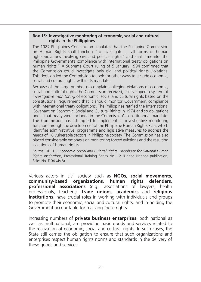#### **Box 15: Investigative monitoring of economic, social and cultural rights in the Philippines**

The 1987 Philippines Constitution stipulates that the Philippine Commission on Human Rights shall function "to investigate … all forms of human rights violations involving civil and political rights" and shall "monitor the Philippine Government's compliance with international treaty obligations on human rights." A Supreme Court ruling of 5 January 1994 confirmed that the Commission could investigate only civil and political rights violations. This decision led the Commission to look for other ways to include economic, social and cultural rights within its mandate.

Because of the large number of complaints alleging violations of economic, social and cultural rights the Commission received, it developed a system of *investigative monitoring* of economic, social and cultural rights based on the constitutional requirement that it should monitor Government compliance with international treaty obligations. The Philippines ratified the International Covenant on Economic, Social and Cultural Rights in 1974 and so obligations under that treaty were included in the Commission's constitutional mandate. The Commission has attempted to implement its investigative monitoring function through the development of the Philippine Human Rights Plan, which identifies administrative, programme and legislative measures to address the needs of 16 vulnerable sectors in Philippine society. The Commission has also placed considerable emphasis on monitoring forced evictions and the resulting violations of human rights.

*Source*: OHCHR, *Economic, Social and Cultural Rights: Handbook for National Human Rights Institutions*, Professional Training Series No. 12 (United Nations publication, Sales No. F.04 XIV.8).

Various actors in civil society, such as **NGOs, social movements**, **community-based organizations**, **human rights defenders**, **professional associations** (e.g., associations of lawyers, health professionals, teachers), **trade unions**, **academics** and **religious institutions**, have crucial roles in working with individuals and groups to promote their economic, social and cultural rights, and in holding the Government accountable for realizing these rights.

Increasing numbers of **private business enterprises**, both national as well as multinational, are providing basic goods and services related to the realization of economic, social and cultural rights. In such cases, the State still carries the obligation to ensure that such organizations and enterprises respect human rights norms and standards in the delivery of these goods and services.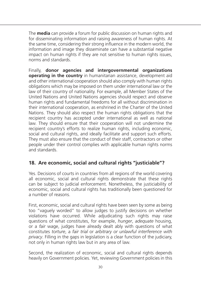The **media** can provide a forum for public discussion on human rights and for disseminating information and raising awareness of human rights. At the same time, considering their strong influence in the modern world, the information and image they disseminate can have a substantial negative impact on human rights if they are not sensitive to human rights issues, norms and standards.

Finally, **donor agencies and intergovernmental organizations operating in the country** in humanitarian assistance, development aid and other international cooperation should also comply with human rights obligations which may be imposed on them under international law or the law of their country of nationality. For example, all Member States of the United Nations and United Nations agencies should respect and observe human rights and fundamental freedoms for all without discrimination in their international cooperation, as enshrined in the Charter of the United Nations. They should also respect the human rights obligations that the recipient country has accepted under international as well as national law. They should ensure that their cooperation will not undermine the recipient country's efforts to realize human rights, including economic, social and cultural rights, and ideally facilitate and support such efforts. They must also ensure that the conduct of their staff, contractors or other people under their control complies with applicable human rights norms and standards.

# **18. Are economic, social and cultural rights "justiciable"?**

Yes. Decisions of courts in countries from all regions of the world covering all economic, social and cultural rights demonstrate that these rights can be subject to judicial enforcement. Nonetheless, the justiciability of economic, social and cultural rights has traditionally been questioned for a number of reasons.

First, economic, social and cultural rights have been seen by some as being too "vaguely worded" to allow judges to justify decisions on whether violations have occurred. While adjudicating such rights may raise questions of what constitutes, for example, *hunger*, *adequate* housing, or a *fair* wage, judges have already dealt ably with questions of what constitutes *torture*, a *fair trial* or *arbitrary or unlawful interference with privacy*. Filling in the gaps in legislation is a clear function of the judiciary, not only in human rights law but in any area of law.

Second, the realization of economic, social and cultural rights depends heavily on Government policies. Yet, reviewing Government policies in this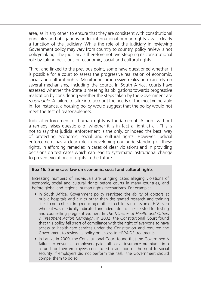area, as in any other, to ensure that they are consistent with constitutional principles and obligations under international human rights law is clearly a function of the judiciary. While the role of the judiciary in reviewing Government policy may vary from country to country, policy review is not policymaking. The judiciary is therefore not overstepping its constitutional role by taking decisions on economic, social and cultural rights.

Third, and linked to the previous point, some have questioned whether it is possible for a court to assess the progressive realization of economic, social and cultural rights. Monitoring progressive realization can rely on several mechanisms, including the courts. In South Africa, courts have assessed whether the State is meeting its obligations towards progressive realization by considering whether the steps taken by the Government are *reasonable*. A failure to take into account the needs of the most vulnerable in, for instance, a housing policy would suggest that the policy would not meet the test of reasonableness.

Judicial enforcement of human rights is fundamental. A right without a remedy raises questions of whether it is in fact a right at all. This is not to say that judicial enforcement is the only, or indeed the best, way of protecting economic, social and cultural rights. However, judicial enforcement has a clear role in developing our understanding of these rights, in affording remedies in cases of clear violations and in providing decisions on test cases which can lead to systematic institutional change to prevent violations of rights in the future.

### **Box 16: Some case law on economic, social and cultural rights**

Increasing numbers of individuals are bringing cases alleging violations of economic, social and cultural rights before courts in many countries, and before global and regional human rights mechanisms. For example:

- In South Africa, Government policy restricted the ability of doctors at public hospitals and clinics other than designated research and training sites to prescribe a drug reducing mother-to-child transmission of HIV, even where it was medically indicated and adequate facilities existed for testing and counselling pregnant women. In *The Minister of Health and Others* v. *Treatment Action Campaign*, in 2002, the Constitutional Court found that this policy fell short of compliance with the right of everyone to have access to health-care services under the Constitution and required the Government to review its policy on access to HIV/AIDS treatments.
- In Latvia, in 2000, the Constitutional Court found that the Government's failure to ensure all employers paid full social insurance premiums into a fund for their employees constituted a violation of the right to social security. If employers did not perform this task, the Government should compel them to do so.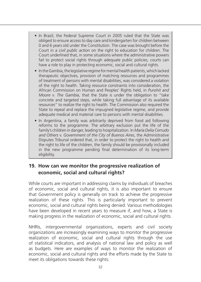- In Brazil, the Federal Supreme Court in 2005 ruled that the State was obliged to ensure access to day care and kindergarten for children between 0 and 6 years old under the Constitution. The case was brought before the Court in a *civil public action* on the right to education for children. The Court underlined that, in some situations where the administrative powers fail to protect social rights through adequate public policies, courts can have a role to play in protecting economic, social and cultural rights.
- In the Gambia, the legislative regime for mental health patients, which lacked therapeutic objectives, provision of matching resources and programmes of treatment of persons with mental disabilities, was considered a violation of the right to health. Taking resource constraints into consideration, the African Commission on Human and Peoples' Rights held, in *Purohit and Moore* v. *The Gambia*, that the State is under the obligation to "take concrete and targeted steps, while taking full advantage of its available resources" to realize the right to health. The Commission also required the State to repeal and replace the impugned legislative regime, and provide adequate medical and material care to persons with mental disabilities.
- In Argentina, a family was arbitrarily deprived from food aid following reforms to the programme. The arbitrary exclusion put the life of the family's children in danger, leading to hospitalization. In *María Delia Cerrudo and Others* v. *Government of the City of Buenos Aires*, the Administrative Disputes Tribunal ordered that, in order to protect the right to health and the right to life of the children, the family should be provisionally included in the new programme pending final determination of its long-term eligibility.

# **19. How can we monitor the progressive realization of economic, social and cultural rights?**

While courts are important in addressing claims by individuals of breaches of economic, social and cultural rights, it is also important to ensure that Government policy is generally on track to achieve the progressive realization of these rights. This is particularly important to prevent economic, social and cultural rights being denied. Various methodologies have been developed in recent years to measure if, and how, a State is making progress in the realization of economic, social and cultural rights.

NHRIs, intergovernmental organizations, experts and civil society organizations are increasingly examining ways to monitor the progressive realization of economic, social and cultural rights through the use of statistical indicators, and analysis of national law and policy as well as budgets. Here are examples of ways to monitor the realization of economic, social and cultural rights and the efforts made by the State to meet its obligations towards these rights: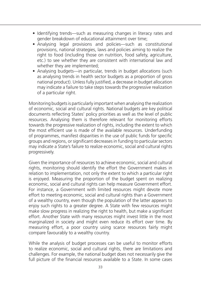- Identifying trends—such as measuring changes in literacy rates and gender breakdown of educational attainment over time;
- Analysing legal provisions and policies—such as constitutional provisions, national strategies, laws and policies aiming to realize the right to food (including those on nutrition, food safety, agriculture, etc.) to see whether they are consistent with international law and whether they are implemented;
- Analysing budgets—in particular, trends in budget allocations (such as analysing trends in health sector budgets as a proportion of gross national product). Unless fully justified, a decrease in budget allocation may indicate a failure to take steps towards the progressive realization of a particular right.

Monitoring budgets is particularly important when analysing the realization of economic, social and cultural rights. National budgets are key political documents reflecting States' policy priorities as well as the level of public resources. Analysing them is therefore relevant for monitoring efforts towards the progressive realization of rights, including the extent to which the most efficient use is made of the available resources. Underfunding of programmes, manifest disparities in the use of public funds for specific groups and regions, or significant decreases in funding to particular sectors may indicate a State's failure to realize economic, social and cultural rights progressively.

Given the importance of resources to achieve economic, social and cultural rights, monitoring should identify the effort the Government makes in relation to implementation, not only the extent to which a particular right is enjoyed. Measuring the proportion of the budget spent on realizing economic, social and cultural rights can help measure Government effort. For instance, a Government with limited resources might devote more effort to meeting economic, social and cultural rights than a Government of a wealthy country, even though the population of the latter appears to enjoy such rights to a greater degree. A State with few resources might make slow progress in realizing the right to health, but make a significant effort. Another State with many resources might invest little in the most marginalized in society and might even reduce its effort over time. By measuring effort, a poor country using scarce resources fairly might compare favourably to a wealthy country.

While the analysis of budget processes can be useful to monitor efforts to realize economic, social and cultural rights, there are limitations and challenges. For example, the national budget does not necessarily give the full picture of the financial resources available to a State. In some cases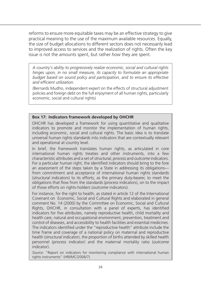reforms to ensure more equitable taxes may be an effective strategy to give practical meaning to the use of the maximum available resources. Equally, the size of budget allocations to different sectors does not necessarily lead to improved access to services and the realization of rights. Often the key issue is not the amounts spent, but rather *how* they are spent.

*A country's ability to progressively realize economic, social and cultural rights hinges upon, in no small measure, its capacity to formulate an appropriate budget based on sound policy and participation, and to ensure its effective and efficient utilization*.

(Bernards Mudho, independent expert on the effects of structural adjustment policies and foreign debt on the full enjoyment of all human rights, particularly economic, social and cultural rights)

### **Box 17: Indicators framework developed by OHCHR**

OHCHR has developed a framework for using quantitative and qualitative indicators to promote and monitor the implementation of human rights, including economic, social and cultural rights. The basic idea is to translate universal human rights standards into indicators that are contextually relevant and operational at country level.

In brief, the framework translates human rights, as articulated in core international human rights treaties and other instruments, into a few characteristic attributes and a set of *structural*, *process* and *outcome* indicators. For a particular human right, the identified indicators should bring to the fore an assessment of the steps taken by a State in addressing its obligations from commitment and acceptance of international human rights standards (*structural* indicators) to its efforts, as the primary duty-bearer, to meet the obligations that flow from the standards (*process* indicators), on to the impact of those efforts on rights-holders (*outcome* indicators).

For instance, for the right to health, as stated in article 12 of the International Covenant on Economic, Social and Cultural Rights and elaborated in general comment No. 14 (2000) by the Committee on Economic, Social and Cultural Rights, OHCHR, in consultation with a panel of experts, has identified indicators for five attributes, namely reproductive health, child mortality and health care, natural and occupational environment, prevention, treatment and control of diseases, and accessibility to health facilities and essential medicines. The indicators identified under the "reproductive health" attribute include the time frame and coverage of a national policy on maternal and reproductive health (*structural* indicator), the proportion of births attended by skilled health personnel (*process* indicator) and the maternal mortality ratio (*outcome* indicator).

*Source*: "Report on indicators for monitoring compliance with international human rights instruments" (HRI/MC/2006/7).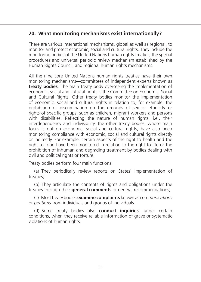# **20. What monitoring mechanisms exist internationally?**

There are various international mechanisms, global as well as regional, to monitor and protect economic, social and cultural rights. They include the monitoring bodies of the United Nations human rights treaties, the special procedures and universal periodic review mechanism established by the Human Rights Council, and regional human rights mechanisms.

All the nine core United Nations human rights treaties have their own monitoring mechanisms—committees of independent experts known as **treaty bodies**. The main treaty body overseeing the implementation of economic, social and cultural rights is the Committee on Economic, Social and Cultural Rights. Other treaty bodies monitor the implementation of economic, social and cultural rights in relation to, for example, the prohibition of discrimination on the grounds of sex or ethnicity or rights of specific groups, such as children, migrant workers and persons with disabilities. Reflecting the nature of human rights, i.e., their interdependency and indivisibility, the other treaty bodies, whose main focus is not on economic, social and cultural rights, have also been monitoring compliance with economic, social and cultural rights directly or indirectly. For example, certain aspects of the right to health and the right to food have been monitored in relation to the right to life or the prohibition of inhuman and degrading treatment by bodies dealing with civil and political rights or torture.

Treaty bodies perform four main functions:

(a) They periodically review reports on States' implementation of treaties;

(b) They articulate the contents of rights and obligations under the treaties through their **general comments** or general recommendations;

(c) Most treaty bodies **examine complaints** known as *communications* or *petitions* from individuals and groups of individuals.

(d) Some treaty bodies also **conduct inquiries**, under certain conditions, when they receive reliable information of grave or systematic violations of human rights.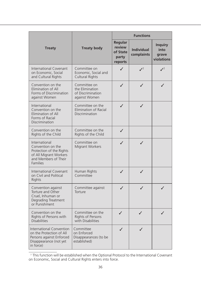|                                                                                                                                     |                                                                       | <b>Functions</b>                                  |                                 |                                               |
|-------------------------------------------------------------------------------------------------------------------------------------|-----------------------------------------------------------------------|---------------------------------------------------|---------------------------------|-----------------------------------------------|
| <b>Treaty</b>                                                                                                                       | <b>Treaty body</b>                                                    | Regular<br>review<br>of State<br>party<br>reports | <b>Individual</b><br>complaints | <b>Inquiry</b><br>into<br>grave<br>violations |
| <b>International Covenant</b><br>on Economic, Social<br>and Cultural Rights                                                         | Committee on<br>Economic, Social and<br><b>Cultural Rights</b>        | J                                                 | $\sqrt{2}$                      | $J^2$                                         |
| Convention on the<br>Elimination of All<br>Forms of Discrimination<br>against Women                                                 | Committee on<br>the Elimination<br>of Discrimination<br>against Women | ✓                                                 | ✓                               | ✓                                             |
| International<br>Convention on the<br>Elimination of All<br>Forms of Racial<br>Discrimination                                       | Committee on the<br>Elimination of Racial<br>Discrimination           | ✓                                                 | ✓                               |                                               |
| Convention on the<br>Rights of the Child                                                                                            | Committee on the<br>Rights of the Child                               | ✓                                                 |                                 |                                               |
| International<br>Convention on the<br>Protection of the Rights<br>of All Migrant Workers<br>and Members of Their<br><b>Families</b> | Committee on<br>Migrant Workers                                       | ✓                                                 | $\checkmark$                    |                                               |
| International Covenant<br>on Civil and Political<br>Rights                                                                          | Human Rights<br>Committee                                             | ✓                                                 | ✓                               |                                               |
| Convention against<br>Torture and Other<br>Cruel, Inhuman or<br>Degrading Treatment<br>or Punishment                                | Committee against<br>Torture                                          | ✓                                                 | ✓                               |                                               |
| Convention on the<br>Rights of Persons with<br><b>Disabilities</b>                                                                  | Committee on the<br><b>Rights of Persons</b><br>with Disabilities     | ✓                                                 | J                               | ✓                                             |
| <b>International Convention</b><br>on the Protection of All<br>Persons against Enforced<br>Disappearance (not yet<br>in force)      | Committee<br>on Enforced<br>Disappearances (to be<br>established)     |                                                   | ✓                               |                                               |

<sup>2</sup> This function will be established when the Optional Protocol to the International Covenant on Economic, Social and Cultural Rights enters into force.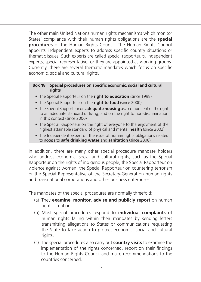The other main United Nations human rights mechanisms which monitor States' compliance with their human rights obligations are the **special procedures** of the Human Rights Council. The Human Rights Council appoints independent experts to address specific country situations or thematic issues. Such experts are called special rapporteurs, independent experts, special representative, or they are appointed as working groups. Currently, there are several thematic mandates which focus on specific economic, social and cultural rights.

### **Box 18: Special procedures on specific economic, social and cultural rights**

- The Special Rapporteur on the **right to education** *(*since 1998)
- The Special Rapporteur on the **right to food** (since 2000)
- The Special Rapporteur on **adequate housing** as a component of the right to an adequate standard of living, and on the right to non-discrimination in this context (since 2000)
- The Special Rapporteur on the right of everyone to the enjoyment of the highest attainable standard of physical and mental **health** (since 2002)
- The Independent Expert on the issue of human rights obligations related to access to **safe drinking water** and **sanitation** (since 2008)

In addition, there are many other special procedure mandate holders who address economic, social and cultural rights, such as the Special Rapporteur on the rights of indigenous people, the Special Rapporteur on violence against women, the Special Rapporteur on countering terrorism or the Special Representative of the Secretary-General on human rights and transnational corporations and other business enterprises.

The mandates of the special procedures are normally threefold:

- (a) They **examine, monitor, advise and publicly report** on human rights situations.
- (b) Most special procedures respond to **individual complaints** of human rights falling within their mandates by sending letters transmitting allegations to States or communications requesting the State to take action to protect economic, social and cultural rights.
- (c) The special procedures also carry out **country visits** to examine the implementation of the rights concerned, report on their findings to the Human Rights Council and make recommendations to the countries concerned.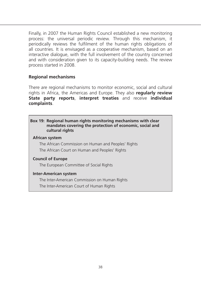Finally, in 2007 the Human Rights Council established a new monitoring process: the universal periodic review. Through this mechanism, it periodically reviews the fulfilment of the human rights obligations of all countries. It is envisaged as a cooperative mechanism, based on an interactive dialogue, with the full involvement of the country concerned and with consideration given to its capacity-building needs. The review process started in 2008.

### **Regional mechanisms**

There are regional mechanisms to monitor economic, social and cultural rights in Africa, the Americas and Europe. They also **regularly review State party reports**, **interpret treaties** and receive **individual complaints**.

#### **Box 19: Regional human rights monitoring mechanisms with clear mandates covering the protection of economic, social and cultural rights**

### **African system**

The African Commission on Human and Peoples' Rights The African Court on Human and Peoples' Rights

### **Council of Europe**

The European Committee of Social Rights

### **Inter-American system**

The Inter-American Commission on Human Rights

The Inter-American Court of Human Rights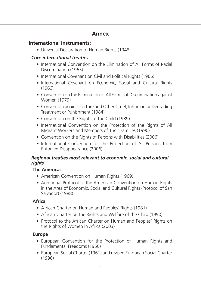# **Annex**

# **International instruments:**

• Universal Declaration of Human Rights (1948)

# *Core international treaties*

- International Convention on the Elimination of All Forms of Racial Discrimination (1965)
- International Covenant on Civil and Political Rights (1966)
- International Covenant on Economic, Social and Cultural Rights (1966)
- Convention on the Elimination of All Forms of Discrimination against Women (1979)
- Convention against Torture and Other Cruel, Inhuman or Degrading Treatment or Punishment (1984)
- Convention on the Rights of the Child (1989)
- International Convention on the Protection of the Rights of All Migrant Workers and Members of Their Families (1990)
- Convention on the Rights of Persons with Disabilities (2006)
- International Convention for the Protection of All Persons from Enforced Disappearance (2006)

## *Regional treaties most relevant to economic, social and cultural rights*

# **The Americas**

- American Convention on Human Rights (1969)
- Additional Protocol to the American Convention on Human Rights in the Area of Economic, Social and Cultural Rights (Protocol of San Salvador) (1988)

# **Africa**

- African Charter on Human and Peoples' Rights (1981)
- African Charter on the Rights and Welfare of the Child (1990)
- Protocol to the African Charter on Human and Peoples' Rights on the Rights of Women in Africa (2003)

# **Europe**

- European Convention for the Protection of Human Rights and Fundamental Freedoms (1950)
- European Social Charter (1961) and revised European Social Charter (1996)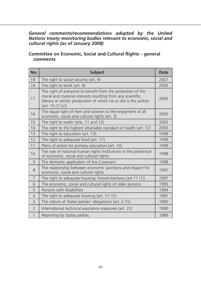### *General comments/recommendations adopted by the United Nations treaty-monitoring bodies relevant to economic, social and cultural rights (as of January 2008)*

### **Committee on Economic, Social and Cultural Rights – general comments**

| No.            | <b>Subject</b>                                                                                                                                                                                                      | <b>Date</b> |
|----------------|---------------------------------------------------------------------------------------------------------------------------------------------------------------------------------------------------------------------|-------------|
| 19             | The right to social security (art. 9)                                                                                                                                                                               | 2007        |
| 18             | The right to work (art. 6)                                                                                                                                                                                          | 2005        |
| 17             | The right of everyone to benefit from the protection of the<br>moral and material interests resulting from any scientific,<br>literary or artistic production of which he or she is the author<br>(art. 15 (1) (c)) | 2005        |
| 16             | The equal right of men and women to the enjoyment of all<br>economic, social and cultural rights (art. 3)                                                                                                           | 2005        |
| 15             | The right to water (arts. 11 and 12)                                                                                                                                                                                | 2002        |
| 14             | The right to the highest attainable standard of health (art. 12)                                                                                                                                                    | 2000        |
| 13             | The right to education (art. 13)                                                                                                                                                                                    | 1999        |
| 12             | The right to adequate food (art. 11)                                                                                                                                                                                | 1999        |
| 11             | Plans of action for primary education (art. 14)                                                                                                                                                                     | 1999        |
| 10             | The role of national human rights institutions in the protection<br>of economic, social and cultural rights                                                                                                         | 1998        |
| 9              | The domestic application of the Covenant                                                                                                                                                                            | 1998        |
| 8              | The relationship between economic sanctions and respect for<br>economic, social and cultural rights                                                                                                                 | 1997        |
| $\overline{7}$ | The right to adequate housing: forced evictions (art.11 (1))                                                                                                                                                        | 1997        |
| 6              | The economic, social and cultural rights of older persons                                                                                                                                                           | 1995        |
| 5              | Persons with disabilities                                                                                                                                                                                           | 1994        |
| $\overline{4}$ | The right to adequate housing (art. 11 (1))                                                                                                                                                                         | 1991        |
| 3              | The nature of States parties' obligations (art. 2 (1))                                                                                                                                                              | 1990        |
| $\overline{2}$ | International technical assistance measures (art. 22)                                                                                                                                                               | 1990        |
| 1              | Reporting by States parties                                                                                                                                                                                         | 1989        |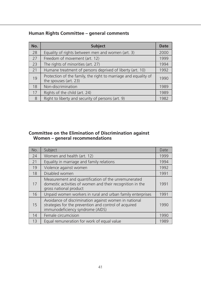# **Human Rights Committee – general comments**

| No. | <b>Subject</b>                                                                           | <b>Date</b> |
|-----|------------------------------------------------------------------------------------------|-------------|
| 28  | Equality of rights between men and women (art. 3)                                        | 2000        |
| 27  | Freedom of movement (art. 12)                                                            | 1999        |
| 23  | The rights of minorities (art. 27)                                                       | 1994        |
| 21  | Humane treatment of persons deprived of liberty (art. 10)                                | 1992        |
| 19  | Protection of the family, the right to marriage and equality of<br>the spouses (art. 23) | 1990        |
| 18  | Non-discrimination                                                                       | 1989        |
| 17  | Rights of the child (art. 24)                                                            | 1989        |
| 8   | Right to liberty and security of persons (art. 9)                                        | 1982        |

### **Committee on the Elimination of Discrimination against Women – general recommendations**

| No. | Subject                                                                                                                                            | Date |
|-----|----------------------------------------------------------------------------------------------------------------------------------------------------|------|
| 24  | Women and health (art. 12)                                                                                                                         | 1999 |
| 21  | Equality in marriage and family relations                                                                                                          | 1994 |
| 19  | Violence against women                                                                                                                             | 1992 |
| 18  | Disabled women                                                                                                                                     | 1991 |
| 17  | Measurement and quantification of the unremunerated<br>domestic activities of women and their recognition in the<br>gross national product         | 1991 |
| 16  | Unpaid women workers in rural and urban family enterprises                                                                                         | 1991 |
| 15  | Avoidance of discrimination against women in national<br>strategies for the prevention and control of acquired<br>immunodeficiency syndrome (AIDS) | 1990 |
| 14  | Female circumcision                                                                                                                                | 1990 |
| 13  | Equal remuneration for work of equal value                                                                                                         | 1989 |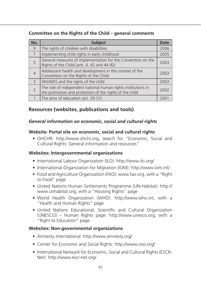# **Committee on the Rights of the Child – general comments**

| No.            | <b>Subject</b>                                                                                                           | <b>Date</b> |
|----------------|--------------------------------------------------------------------------------------------------------------------------|-------------|
| 9              | The rights of children with disabilities                                                                                 | 2006        |
| 7              | Implementing child rights in early childhood                                                                             | 2005        |
| 5              | General measures of implementation for the Convention on the<br>Rights of the Child (arts. 4, 42 and 44 (6))             | 2003        |
| $\overline{4}$ | Adolescent health and development in the context of the<br>Convention on the Rights of the Child                         | 2003        |
| $\overline{3}$ | HIV/AIDS and the rights of the child                                                                                     | 2003        |
| $\overline{2}$ | The role of independent national human rights institutions in<br>the promotion and protection of the rights of the child | 2002        |
|                | The aims of education (art. 29 (1))                                                                                      | 2001        |

# **Resources (websites, publications and tools)**

## *General information on economic, social and cultural rights*

## **Website: Portal site on economic, social and cultural rights**

• OHCHR: http://www.ohchr.org, search for "Economic, Social and Cultural Rights: General information and resources"

### **Websites: Intergovernmental organizations**

- International Labour Organization (ILO): http://www.ilo.org/
- International Organization for Migration (IOM): http://www.iom.int/
- Food and Agriculture Organization (FAO): www.fao.org, with a "Right to Food" page
- United Nations Human Settlements Programme (UN-Habitat): http:// www.unhabitat.org, with a "Housing Rights" page
- World Health Organization (WHO): http://www.who.int, with a "Health and Human Rights" page
- United Nations Educational, Scientific and Cultural Organization (UNESCO) – Human Rights page: http://www.unesco.org, with a "Right to Education" page

### **Websites: Non-governmental organizations**

- Amnesty International: http://www.amnesty.org/
- Center for Economic and Social Rights: http://www.cesr.org/
- International Network for Economic, Social and Cultural Rights (ESCR-Net): http://www.escr-net.org/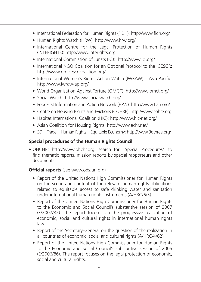- International Federation for Human Rights (FIDH): http://www.fidh.org/
- Human Rights Watch (HRW): http://www.hrw.org/
- International Centre for the Legal Protection of Human Rights (INTERIGHTS): http://www.interights.org
- International Commission of Jurists (ICJ): http://www.icj.org/
- International NGO Coalition for an Optional Protocol to the ICESCR: http://www.op-icescr-coalition.org/
- International Women's Rights Action Watch (IWRAW) Asia Pacific: http://www.iwraw-ap.org/
- World Organisation Against Torture (OMCT): http://www.omct.org/
- Social Watch: http://www.socialwatch.org/
- FoodFirst Information and Action Network (FIAN): http://www.fian.org/
- Centre on Housing Rights and Evictions (COHRE): http://www.cohre.org
- Habitat International Coalition (HIC): http://www.hic-net.org/
- Asian Coalition for Housing Rights: http://www.achr.net/
- 3D Trade Human Rights Equitable Economy: http://www.3dthree.org/

### **Special procedures of the Human Rights Council**

• OHCHR: http://www.ohchr.org, search for "Special Procedures" to find thematic reports, mission reports by special rapporteurs and other documents

### **Official reports** (see www.ods.un.org)

- Report of the United Nations High Commissioner for Human Rights on the scope and content of the relevant human rights obligations related to equitable access to safe drinking water and sanitation under international human rights instruments (A/HRC/6/3).
- Report of the United Nations High Commissioner for Human Rights to the Economic and Social Council's substantive session of 2007 (E/2007/82). The report focuses on the progressive realization of economic, social and cultural rights in international human rights law.
- Report of the Secretary-General on the question of the realization in all countries of economic, social and cultural rights (A/HRC/4/62).
- Report of the United Nations High Commissioner for Human Rights to the Economic and Social Council's substantive session of 2006 (E/2006/86). The report focuses on the legal protection of economic, social and cultural rights.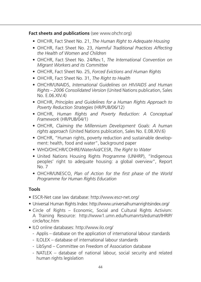### **Fact sheets and publications** (see www.ohchr.org)

- OHCHR, Fact Sheet No. 21, *The Human Right to Adequate Housing*
- OHCHR, Fact Sheet No. 23, *Harmful Traditional Practices Affecting the Health of Women and Children*
- OHCHR, Fact Sheet No. 24/Rev.1, *The International Convention on Migrant Workers and its Committee*
- OHCHR, Fact Sheet No. 25, *Forced Evictions and Human Rights*
- OHCHR, Fact Sheet No. 31, *The Right to Health*
- OHCHR/UNAIDS, *International Guidelines on HIV/AIDS and Human Rights – 2006 Consolidated Version* (United Nations publication, Sales No. E.06.XIV.4)
- OHCHR, *Principles and Guidelines for a Human Rights Approach to Poverty Reduction Strategies* (HR/PUB/06/12)
- OHCHR, *Human Rights and Poverty Reduction: A Conceptual Framework* (HR/PUB/04/1)
- OHCHR, *Claiming the Millennium Development Goals: A human rights approach* (United Nations publication, Sales No. E.08.XIV.6)
- OHCHR, "Human rights, poverty reduction and sustainable development: health, food and water", background paper
- WHO/OHCHR/COHRE/WaterAid/CESR, *The Right to Water*
- United Nations Housing Rights Programme (UNHRP), "Indigenous peoples' right to adequate housing: a global overview", Report No. 7
- OHCHR/UNESCO, *Plan of Action for the first phase of the World Programme for Human Rights Education*

# **Tools**

- ESCR-Net case law database: http://www.escr-net.org/
- Universal Human Rights Index: http://www.universalhumanrightsindex.org/
- Circle of Rights Economic, Social and Cultural Rights Activism: A Training Resource: http://www1.umn.edu/humanrts/edumat/IHRIP/ circle/toc.htm
- ILO online databases: http://www.ilo.org/
	- Applis database on the application of international labour standards
	- ILOLEX database of international labour standards
	- LibSynd Committee on Freedom of Association database
	- NATLEX database of national labour, social security and related human rights legislation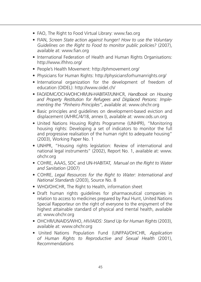- FAO, The Right to Food Virtual Library: www.fao.org
- FIAN, *Screen State action against hunger! How to use the Voluntary Guidelines on the Right to Food to monitor public policies?* (2007), available at: www.fian.org
- International Federation of Health and Human Rights Organisations: http://www.ifhhro.org/
- People's Health Movement: http://phmovement.org/
- Physicians for Human Rights: http://physiciansforhumanrights.org/
- International organization for the development of freedom of education (OIDEL): http://www.oidel.ch/
- FAO/iDMC/OCHA/OHCHR/UN-HABITAT/UNHCR, *Handbook on Housing and Property Restitution for Refugees and Displaced Persons: Implementing the "Pinheiro Principles"*, available at: www.ohchr.org
- Basic principles and guidelines on development-based eviction and displacement (A/HRC/4/18, annex I), available at: www.ods.un.org
- United Nations Housing Rights Programme (UNHPR), "Monitoring housing rights: Developing a set of indicators to monitor the full and progressive realisation of the human right to adequate housing" (2003), Working Paper No. 1
- UNHPR, "Housing rights legislation: Review of international and national legal instruments" (2002), Report No. 1, available at: www. ohchr.org
- COHRE, AAAS, SDC and UN-HABITAT, *Manual on the Right to Water and Sanitation* (2007)
- COHRE, *Legal Resources for the Right to Water: International and National Standards* (2003), Source No. 8
- WHO/OHCHR, The Right to Health, information sheet
- Draft human rights guidelines for pharmaceutical companies in relation to access to medicines prepared by Paul Hunt, United Nations Special Rapporteur on the right of everyone to the enjoyment of the highest attainable standard of physical and mental health, available at: www.ohchr.org
- OHCHR/UNAIDS/WHO, *HIV/AIDS: Stand Up for Human Rights* (2003), available at: www.ohchr.org
- United Nations Population Fund (UNFPA)/OHCHR, *Application of Human Rights to Reproductive and Sexual Health* (2001), Recommendations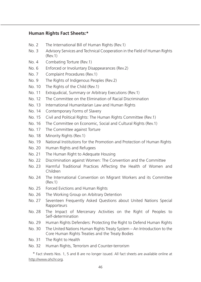### **Human Rights Fact Sheets:\***

- No. 2 The International Bill of Human Rights (Rev.1)
- No. 3 Advisory Services and Technical Cooperation in the Field of Human Rights (Rev.1)
- No. 4 Combating Torture (Rev.1)
- No. 6 Enforced or Involuntary Disappearances (Rev.2)
- No. 7 Complaint Procedures (Rev.1)
- No. 9 The Rights of Indigenous Peoples (Rev.2)
- No. 10 The Rights of the Child (Rev.1)
- No. 11 Extrajudicial, Summary or Arbitrary Executions (Rev.1)
- No. 12 The Committee on the Elimination of Racial Discrimination
- No. 13 International Humanitarian Law and Human Rights
- No. 14 Contemporary Forms of Slavery
- No. 15 Civil and Political Rights: The Human Rights Committee (Rev.1)
- No. 16 The Committee on Economic, Social and Cultural Rights (Rev.1)
- No. 17 The Committee against Torture
- No. 18 Minority Rights (Rev.1)
- No. 19 National Institutions for the Promotion and Protection of Human Rights
- No. 20 Human Rights and Refugees
- No. 21 The Human Right to Adequate Housing
- No. 22 Discrimination against Women: The Convention and the Committee
- No. 23 Harmful Traditional Practices Affecting the Health of Women and Children
- No. 24 The International Convention on Migrant Workers and its Committee (Rev.1)
- No. 25 Forced Evictions and Human Rights
- No. 26 The Working Group on Arbitrary Detention
- No. 27 Seventeen Frequently Asked Questions about United Nations Special **Rapporteurs**
- No. 28 The Impact of Mercenary Activities on the Right of Peoples to Self-determination
- No. 29 Human Rights Defenders: Protecting the Right to Defend Human Rights
- No. 30 The United Nations Human Rights Treaty System An Introduction to the Core Human Rights Treaties and the Treaty Bodies
- No. 31 The Right to Health
- No. 32 Human Rights, Terrorism and Counter-terrorism

\* Fact sheets Nos. 1, 5 and 8 are no longer issued. All fact sheets are available online at http://www.ohchr.org.